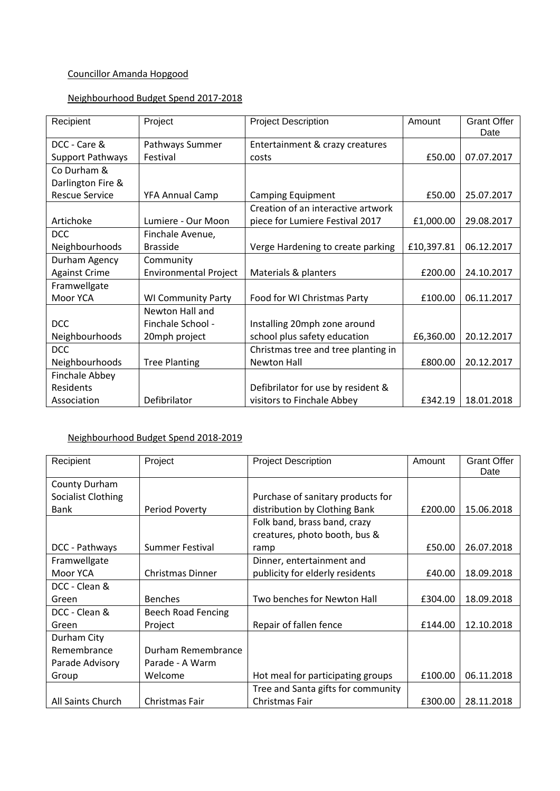## Councillor Amanda Hopgood

### Neighbourhood Budget Spend 2017-2018

| Recipient             | Project                      | <b>Project Description</b>          | Amount     | <b>Grant Offer</b><br>Date |
|-----------------------|------------------------------|-------------------------------------|------------|----------------------------|
| DCC - Care &          | Pathways Summer              | Entertainment & crazy creatures     |            |                            |
| Support Pathways      | Festival                     | costs                               | £50.00     | 07.07.2017                 |
| Co Durham &           |                              |                                     |            |                            |
| Darlington Fire &     |                              |                                     |            |                            |
| <b>Rescue Service</b> | <b>YFA Annual Camp</b>       | <b>Camping Equipment</b>            | £50.00     | 25.07.2017                 |
|                       |                              | Creation of an interactive artwork  |            |                            |
| Artichoke             | Lumiere - Our Moon           | piece for Lumiere Festival 2017     | £1,000.00  | 29.08.2017                 |
| <b>DCC</b>            | Finchale Avenue,             |                                     |            |                            |
| Neighbourhoods        | <b>Brasside</b>              | Verge Hardening to create parking   | £10,397.81 | 06.12.2017                 |
| Durham Agency         | Community                    |                                     |            |                            |
| <b>Against Crime</b>  | <b>Environmental Project</b> | Materials & planters                | £200.00    | 24.10.2017                 |
| Framwellgate          |                              |                                     |            |                            |
| Moor YCA              | <b>WI Community Party</b>    | Food for WI Christmas Party         | £100.00    | 06.11.2017                 |
|                       | Newton Hall and              |                                     |            |                            |
| <b>DCC</b>            | Finchale School -            | Installing 20mph zone around        |            |                            |
| Neighbourhoods        | 20mph project                | school plus safety education        | £6,360.00  | 20.12.2017                 |
| <b>DCC</b>            |                              | Christmas tree and tree planting in |            |                            |
| Neighbourhoods        | <b>Tree Planting</b>         | <b>Newton Hall</b>                  | £800.00    | 20.12.2017                 |
| Finchale Abbey        |                              |                                     |            |                            |
| Residents             |                              | Defibrilator for use by resident &  |            |                            |
| Association           | Defibrilator                 | visitors to Finchale Abbey          | £342.19    | 18.01.2018                 |

### Neighbourhood Budget Spend 2018-2019

| Recipient          | Project                 | <b>Project Description</b>                                    | Amount  | <b>Grant Offer</b><br>Date |
|--------------------|-------------------------|---------------------------------------------------------------|---------|----------------------------|
| County Durham      |                         |                                                               |         |                            |
| Socialist Clothing |                         | Purchase of sanitary products for                             |         |                            |
| <b>Bank</b>        | Period Poverty          | distribution by Clothing Bank                                 | £200.00 | 15.06.2018                 |
|                    |                         | Folk band, brass band, crazy<br>creatures, photo booth, bus & |         |                            |
|                    | Summer Festival         |                                                               | £50.00  | 26.07.2018                 |
| DCC - Pathways     |                         | ramp                                                          |         |                            |
| Framwellgate       |                         | Dinner, entertainment and                                     |         |                            |
| Moor YCA           | <b>Christmas Dinner</b> | publicity for elderly residents                               | £40.00  | 18.09.2018                 |
| DCC - Clean &      |                         |                                                               |         |                            |
| Green              | <b>Benches</b>          | Two benches for Newton Hall                                   | £304.00 | 18.09.2018                 |
| DCC - Clean &      | Beech Road Fencing      |                                                               |         |                            |
| Green              | Project                 | Repair of fallen fence                                        | £144.00 | 12.10.2018                 |
| Durham City        |                         |                                                               |         |                            |
| Remembrance        | Durham Remembrance      |                                                               |         |                            |
| Parade Advisory    | Parade - A Warm         |                                                               |         |                            |
| Group              | Welcome                 | Hot meal for participating groups                             | £100.00 | 06.11.2018                 |
|                    |                         | Tree and Santa gifts for community                            |         |                            |
| All Saints Church  | Christmas Fair          | Christmas Fair                                                | £300.00 | 28.11.2018                 |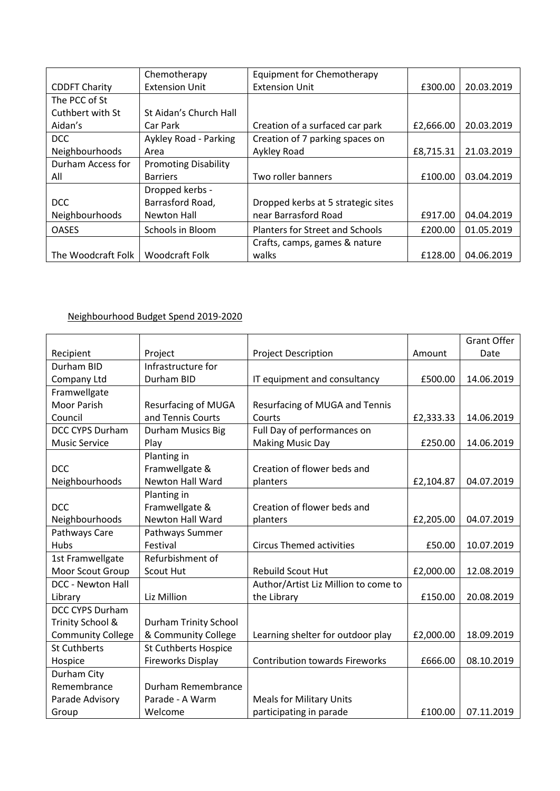|                      | Chemotherapy                | Equipment for Chemotherapy             |           |            |
|----------------------|-----------------------------|----------------------------------------|-----------|------------|
| <b>CDDFT Charity</b> | <b>Extension Unit</b>       | <b>Extension Unit</b>                  | £300.00   | 20.03.2019 |
| The PCC of St        |                             |                                        |           |            |
| Cuthbert with St     | St Aidan's Church Hall      |                                        |           |            |
| Aidan's              | Car Park                    | Creation of a surfaced car park        | £2,666.00 | 20.03.2019 |
| DCC                  | Aykley Road - Parking       | Creation of 7 parking spaces on        |           |            |
| Neighbourhoods       | Area                        | Aykley Road                            | £8,715.31 | 21.03.2019 |
| Durham Access for    | <b>Promoting Disability</b> |                                        |           |            |
| All                  | <b>Barriers</b>             | Two roller banners                     | £100.00   | 03.04.2019 |
|                      | Dropped kerbs -             |                                        |           |            |
| DCC.                 | Barrasford Road,            | Dropped kerbs at 5 strategic sites     |           |            |
| Neighbourhoods       | Newton Hall                 | near Barrasford Road                   | £917.00   | 04.04.2019 |
| <b>OASES</b>         | Schools in Bloom            | <b>Planters for Street and Schools</b> | £200.00   | 01.05.2019 |
|                      |                             | Crafts, camps, games & nature          |           |            |
| The Woodcraft Folk   | Woodcraft Folk              | walks                                  | £128.00   | 04.06.2019 |

# Neighbourhood Budget Spend 2019-2020

|                          |                              |                                       |           | <b>Grant Offer</b> |
|--------------------------|------------------------------|---------------------------------------|-----------|--------------------|
| Recipient                | Project                      | Project Description                   | Amount    | Date               |
| Durham BID               | Infrastructure for           |                                       |           |                    |
| Company Ltd              | Durham BID                   | IT equipment and consultancy          | £500.00   | 14.06.2019         |
| Framwellgate             |                              |                                       |           |                    |
| <b>Moor Parish</b>       | <b>Resurfacing of MUGA</b>   | Resurfacing of MUGA and Tennis        |           |                    |
| Council                  | and Tennis Courts            | Courts                                | £2,333.33 | 14.06.2019         |
| DCC CYPS Durham          | Durham Musics Big            | Full Day of performances on           |           |                    |
| <b>Music Service</b>     | Play                         | <b>Making Music Day</b>               | £250.00   | 14.06.2019         |
|                          | Planting in                  |                                       |           |                    |
| <b>DCC</b>               | Framwellgate &               | Creation of flower beds and           |           |                    |
| Neighbourhoods           | Newton Hall Ward             | planters                              | £2,104.87 | 04.07.2019         |
|                          | Planting in                  |                                       |           |                    |
| <b>DCC</b>               | Framwellgate &               | Creation of flower beds and           |           |                    |
| Neighbourhoods           | <b>Newton Hall Ward</b>      | planters                              | £2,205.00 | 04.07.2019         |
| Pathways Care            | Pathways Summer              |                                       |           |                    |
| Hubs                     | Festival                     | <b>Circus Themed activities</b>       | £50.00    | 10.07.2019         |
| 1st Framwellgate         | Refurbishment of             |                                       |           |                    |
| Moor Scout Group         | Scout Hut                    | <b>Rebuild Scout Hut</b>              | £2,000.00 | 12.08.2019         |
| DCC - Newton Hall        |                              | Author/Artist Liz Million to come to  |           |                    |
| Library                  | Liz Million                  | the Library                           | £150.00   | 20.08.2019         |
| <b>DCC CYPS Durham</b>   |                              |                                       |           |                    |
| Trinity School &         | <b>Durham Trinity School</b> |                                       |           |                    |
| <b>Community College</b> | & Community College          | Learning shelter for outdoor play     | £2,000.00 | 18.09.2019         |
| <b>St Cuthberts</b>      | <b>St Cuthberts Hospice</b>  |                                       |           |                    |
| Hospice                  | <b>Fireworks Display</b>     | <b>Contribution towards Fireworks</b> | £666.00   | 08.10.2019         |
| Durham City              |                              |                                       |           |                    |
| Remembrance              | Durham Remembrance           |                                       |           |                    |
| Parade Advisory          | Parade - A Warm              | <b>Meals for Military Units</b>       |           |                    |
| Group                    | Welcome                      | participating in parade               | £100.00   | 07.11.2019         |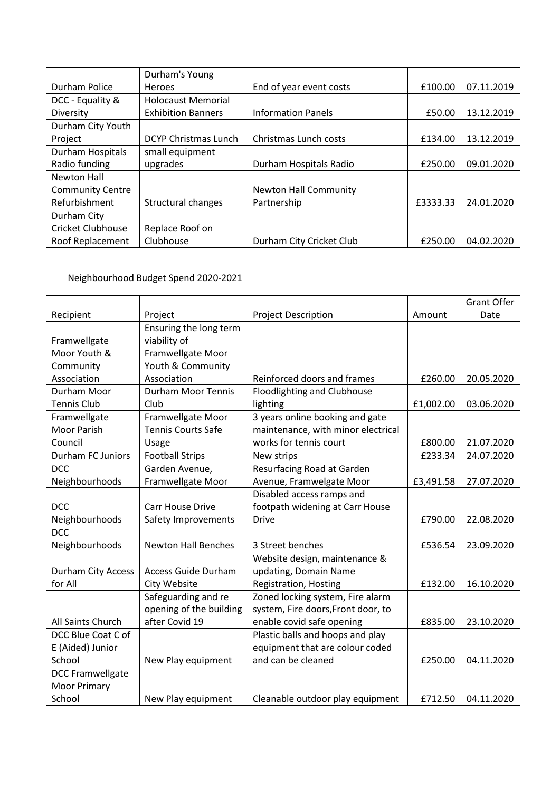|                         | Durham's Young            |                           |          |            |
|-------------------------|---------------------------|---------------------------|----------|------------|
| Durham Police           | Heroes                    | End of year event costs   | £100.00  | 07.11.2019 |
| DCC - Equality &        | <b>Holocaust Memorial</b> |                           |          |            |
| Diversity               | <b>Exhibition Banners</b> | <b>Information Panels</b> | £50.00   | 13.12.2019 |
| Durham City Youth       |                           |                           |          |            |
| Project                 | DCYP Christmas Lunch      | Christmas Lunch costs     | £134.00  | 13.12.2019 |
| <b>Durham Hospitals</b> | small equipment           |                           |          |            |
| Radio funding           | upgrades                  | Durham Hospitals Radio    | £250.00  | 09.01.2020 |
| Newton Hall             |                           |                           |          |            |
| <b>Community Centre</b> |                           | Newton Hall Community     |          |            |
| Refurbishment           | Structural changes        | Partnership               | £3333.33 | 24.01.2020 |
| Durham City             |                           |                           |          |            |
| Cricket Clubhouse       | Replace Roof on           |                           |          |            |
| Roof Replacement        | Clubhouse                 | Durham City Cricket Club  | £250.00  | 04.02.2020 |

## Neighbourhood Budget Spend 2020-2021

|                           |                            |                                    |           | <b>Grant Offer</b> |
|---------------------------|----------------------------|------------------------------------|-----------|--------------------|
| Recipient                 | Project                    | <b>Project Description</b>         | Amount    | Date               |
|                           | Ensuring the long term     |                                    |           |                    |
| Framwellgate              | viability of               |                                    |           |                    |
| Moor Youth &              | Framwellgate Moor          |                                    |           |                    |
| Community                 | Youth & Community          |                                    |           |                    |
| Association               | Association                | Reinforced doors and frames        | £260.00   | 20.05.2020         |
| Durham Moor               | <b>Durham Moor Tennis</b>  | Floodlighting and Clubhouse        |           |                    |
| <b>Tennis Club</b>        | Club                       | lighting                           | £1,002.00 | 03.06.2020         |
| Framwellgate              | Framwellgate Moor          | 3 years online booking and gate    |           |                    |
| <b>Moor Parish</b>        | <b>Tennis Courts Safe</b>  | maintenance, with minor electrical |           |                    |
| Council                   | Usage                      | works for tennis court             | £800.00   | 21.07.2020         |
| Durham FC Juniors         | <b>Football Strips</b>     | New strips                         | £233.34   | 24.07.2020         |
| <b>DCC</b>                | Garden Avenue,             | Resurfacing Road at Garden         |           |                    |
| Neighbourhoods            | Framwellgate Moor          | Avenue, Framwelgate Moor           | £3,491.58 | 27.07.2020         |
|                           |                            | Disabled access ramps and          |           |                    |
| <b>DCC</b>                | <b>Carr House Drive</b>    | footpath widening at Carr House    |           |                    |
| Neighbourhoods            | Safety Improvements        | <b>Drive</b>                       | £790.00   | 22.08.2020         |
| <b>DCC</b>                |                            |                                    |           |                    |
| Neighbourhoods            | <b>Newton Hall Benches</b> | 3 Street benches                   | £536.54   | 23.09.2020         |
|                           |                            | Website design, maintenance &      |           |                    |
| <b>Durham City Access</b> | <b>Access Guide Durham</b> | updating, Domain Name              |           |                    |
| for All                   | City Website               | Registration, Hosting              | £132.00   | 16.10.2020         |
|                           | Safeguarding and re        | Zoned locking system, Fire alarm   |           |                    |
|                           | opening of the building    | system, Fire doors, Front door, to |           |                    |
| All Saints Church         | after Covid 19             | enable covid safe opening          | £835.00   | 23.10.2020         |
| DCC Blue Coat C of        |                            | Plastic balls and hoops and play   |           |                    |
| E (Aided) Junior          |                            | equipment that are colour coded    |           |                    |
| School                    | New Play equipment         | and can be cleaned                 | £250.00   | 04.11.2020         |
| <b>DCC Framwellgate</b>   |                            |                                    |           |                    |
| <b>Moor Primary</b>       |                            |                                    |           |                    |
| School                    | New Play equipment         | Cleanable outdoor play equipment   | £712.50   | 04.11.2020         |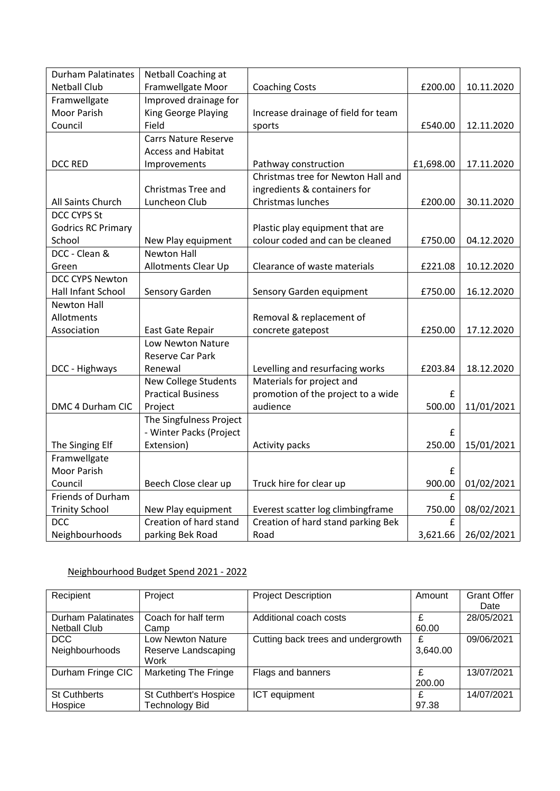| <b>Durham Palatinates</b> | Netball Coaching at         |                                     |           |            |
|---------------------------|-----------------------------|-------------------------------------|-----------|------------|
| <b>Netball Club</b>       | Framwellgate Moor           | <b>Coaching Costs</b>               | £200.00   | 10.11.2020 |
| Framwellgate              | Improved drainage for       |                                     |           |            |
| <b>Moor Parish</b>        | King George Playing         | Increase drainage of field for team |           |            |
| Council                   | Field                       | sports                              | £540.00   | 12.11.2020 |
|                           | <b>Carrs Nature Reserve</b> |                                     |           |            |
|                           | <b>Access and Habitat</b>   |                                     |           |            |
| <b>DCC RED</b>            | Improvements                | Pathway construction                | £1,698.00 | 17.11.2020 |
|                           |                             | Christmas tree for Newton Hall and  |           |            |
|                           | Christmas Tree and          | ingredients & containers for        |           |            |
| All Saints Church         | Luncheon Club               | Christmas lunches                   | £200.00   | 30.11.2020 |
| <b>DCC CYPS St</b>        |                             |                                     |           |            |
| <b>Godrics RC Primary</b> |                             | Plastic play equipment that are     |           |            |
| School                    | New Play equipment          | colour coded and can be cleaned     | £750.00   | 04.12.2020 |
| DCC - Clean &             | <b>Newton Hall</b>          |                                     |           |            |
| Green                     | Allotments Clear Up         | Clearance of waste materials        | £221.08   | 10.12.2020 |
| <b>DCC CYPS Newton</b>    |                             |                                     |           |            |
| Hall Infant School        | Sensory Garden              | Sensory Garden equipment            | £750.00   | 16.12.2020 |
| <b>Newton Hall</b>        |                             |                                     |           |            |
| Allotments                |                             | Removal & replacement of            |           |            |
| Association               | East Gate Repair            | concrete gatepost                   | £250.00   | 17.12.2020 |
|                           | Low Newton Nature           |                                     |           |            |
|                           | Reserve Car Park            |                                     |           |            |
| DCC - Highways            | Renewal                     | Levelling and resurfacing works     | £203.84   | 18.12.2020 |
|                           | New College Students        | Materials for project and           |           |            |
|                           | <b>Practical Business</b>   | promotion of the project to a wide  | £         |            |
| DMC 4 Durham CIC          | Project                     | audience                            | 500.00    | 11/01/2021 |
|                           | The Singfulness Project     |                                     |           |            |
|                           | - Winter Packs (Project     |                                     | £         |            |
| The Singing Elf           | Extension)                  | Activity packs                      | 250.00    | 15/01/2021 |
| Framwellgate              |                             |                                     |           |            |
| <b>Moor Parish</b>        |                             |                                     | £         |            |
| Council                   | Beech Close clear up        | Truck hire for clear up             | 900.00    | 01/02/2021 |
| Friends of Durham         |                             |                                     | £         |            |
| <b>Trinity School</b>     | New Play equipment          | Everest scatter log climbingframe   | 750.00    | 08/02/2021 |
| <b>DCC</b>                | Creation of hard stand      | Creation of hard stand parking Bek  | £         |            |
| Neighbourhoods            | parking Bek Road            | Road                                | 3,621.66  | 26/02/2021 |

# Neighbourhood Budget Spend 2021 - 2022

| Recipient           | Project                     | <b>Project Description</b>         | Amount   | <b>Grant Offer</b> |
|---------------------|-----------------------------|------------------------------------|----------|--------------------|
|                     |                             |                                    |          | Date               |
| Durham Palatinates  | Coach for half term         | Additional coach costs             |          | 28/05/2021         |
| <b>Netball Club</b> | Camp                        |                                    | 60.00    |                    |
| <b>DCC</b>          | Low Newton Nature           | Cutting back trees and undergrowth | £        | 09/06/2021         |
| Neighbourhoods      | Reserve Landscaping         |                                    | 3,640.00 |                    |
|                     | Work                        |                                    |          |                    |
| Durham Fringe CIC   | <b>Marketing The Fringe</b> | Flags and banners                  | £        | 13/07/2021         |
|                     |                             |                                    | 200.00   |                    |
| <b>St Cuthberts</b> | St Cuthbert's Hospice       | ICT equipment                      | £        | 14/07/2021         |
| Hospice             | <b>Technology Bid</b>       |                                    | 97.38    |                    |